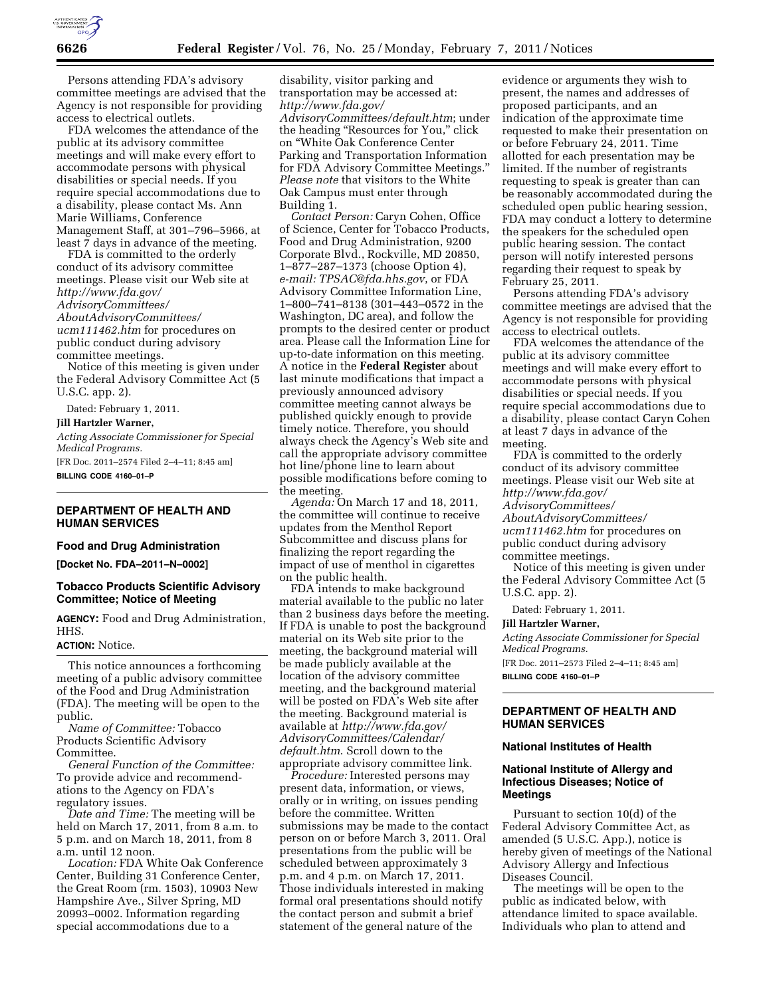

Persons attending FDA's advisory committee meetings are advised that the Agency is not responsible for providing access to electrical outlets.

FDA welcomes the attendance of the public at its advisory committee meetings and will make every effort to accommodate persons with physical disabilities or special needs. If you require special accommodations due to a disability, please contact Ms. Ann Marie Williams, Conference Management Staff, at 301–796–5966, at least 7 days in advance of the meeting.

FDA is committed to the orderly conduct of its advisory committee meetings. Please visit our Web site at *[http://www.fda.gov/](http://www.fda.gov/AdvisoryCommittees/AboutAdvisoryCommittees/ucm111462.htm) [AdvisoryCommittees/](http://www.fda.gov/AdvisoryCommittees/AboutAdvisoryCommittees/ucm111462.htm) [AboutAdvisoryCommittees/](http://www.fda.gov/AdvisoryCommittees/AboutAdvisoryCommittees/ucm111462.htm)  [ucm111462.htm](http://www.fda.gov/AdvisoryCommittees/AboutAdvisoryCommittees/ucm111462.htm)* for procedures on public conduct during advisory committee meetings.

Notice of this meeting is given under the Federal Advisory Committee Act (5 U.S.C. app. 2).

Dated: February 1, 2011.

#### **Jill Hartzler Warner,**

*Acting Associate Commissioner for Special Medical Programs.*  [FR Doc. 2011–2574 Filed 2–4–11; 8:45 am]

**BILLING CODE 4160–01–P** 

# **DEPARTMENT OF HEALTH AND HUMAN SERVICES**

## **Food and Drug Administration**

**[Docket No. FDA–2011–N–0002]** 

## **Tobacco Products Scientific Advisory Committee; Notice of Meeting**

**AGENCY:** Food and Drug Administration, HHS.

# **ACTION:** Notice.

This notice announces a forthcoming meeting of a public advisory committee of the Food and Drug Administration (FDA). The meeting will be open to the public.

*Name of Committee:* Tobacco Products Scientific Advisory Committee.

*General Function of the Committee:*  To provide advice and recommendations to the Agency on FDA's regulatory issues.

*Date and Time:* The meeting will be held on March 17, 2011, from 8 a.m. to 5 p.m. and on March 18, 2011, from 8 a.m. until 12 noon.

*Location:* FDA White Oak Conference Center, Building 31 Conference Center, the Great Room (rm. 1503), 10903 New Hampshire Ave., Silver Spring, MD 20993–0002. Information regarding special accommodations due to a

disability, visitor parking and transportation may be accessed at: *[http://www.fda.gov/](http://www.fda.gov/AdvisoryCommittees/default.htm) [AdvisoryCommittees/default.htm](http://www.fda.gov/AdvisoryCommittees/default.htm)*; under the heading ''Resources for You,'' click on ''White Oak Conference Center Parking and Transportation Information for FDA Advisory Committee Meetings.'' *Please note* that visitors to the White Oak Campus must enter through Building 1.

*Contact Person:* Caryn Cohen, Office of Science, Center for Tobacco Products, Food and Drug Administration, 9200 Corporate Blvd., Rockville, MD 20850, 1–877–287–1373 (choose Option 4), *e-mail: [TPSAC@fda.hhs.gov](mailto:TPSAC@fda.hhs.gov)*, or FDA Advisory Committee Information Line, 1–800–741–8138 (301–443–0572 in the Washington, DC area), and follow the prompts to the desired center or product area. Please call the Information Line for up-to-date information on this meeting. A notice in the **Federal Register** about last minute modifications that impact a previously announced advisory committee meeting cannot always be published quickly enough to provide timely notice. Therefore, you should always check the Agency's Web site and call the appropriate advisory committee hot line/phone line to learn about possible modifications before coming to the meeting.

*Agenda:* On March 17 and 18, 2011, the committee will continue to receive updates from the Menthol Report Subcommittee and discuss plans for finalizing the report regarding the impact of use of menthol in cigarettes on the public health.

FDA intends to make background material available to the public no later than 2 business days before the meeting. If FDA is unable to post the background material on its Web site prior to the meeting, the background material will be made publicly available at the location of the advisory committee meeting, and the background material will be posted on FDA's Web site after the meeting. Background material is available at *[http://www.fda.gov/](http://www.fda.gov/AdvisoryCommittees/Calendar/default.htm)  [AdvisoryCommittees/Calendar/](http://www.fda.gov/AdvisoryCommittees/Calendar/default.htm)  [default.htm](http://www.fda.gov/AdvisoryCommittees/Calendar/default.htm)*. Scroll down to the appropriate advisory committee link.

*Procedure:* Interested persons may present data, information, or views, orally or in writing, on issues pending before the committee. Written submissions may be made to the contact person on or before March 3, 2011. Oral presentations from the public will be scheduled between approximately 3 p.m. and 4 p.m. on March 17, 2011. Those individuals interested in making formal oral presentations should notify the contact person and submit a brief statement of the general nature of the

evidence or arguments they wish to present, the names and addresses of proposed participants, and an indication of the approximate time requested to make their presentation on or before February 24, 2011. Time allotted for each presentation may be limited. If the number of registrants requesting to speak is greater than can be reasonably accommodated during the scheduled open public hearing session, FDA may conduct a lottery to determine the speakers for the scheduled open public hearing session. The contact person will notify interested persons regarding their request to speak by February 25, 2011.

Persons attending FDA's advisory committee meetings are advised that the Agency is not responsible for providing access to electrical outlets.

FDA welcomes the attendance of the public at its advisory committee meetings and will make every effort to accommodate persons with physical disabilities or special needs. If you require special accommodations due to a disability, please contact Caryn Cohen at least 7 days in advance of the meeting.

FDA is committed to the orderly conduct of its advisory committee meetings. Please visit our Web site at *[http://www.fda.gov/](http://www.fda.gov/AdvisoryCommittees/AboutAdvisoryCommittees/ucm111462.htm) [AdvisoryCommittees/](http://www.fda.gov/AdvisoryCommittees/AboutAdvisoryCommittees/ucm111462.htm) [AboutAdvisoryCommittees/](http://www.fda.gov/AdvisoryCommittees/AboutAdvisoryCommittees/ucm111462.htm)  [ucm111462.htm](http://www.fda.gov/AdvisoryCommittees/AboutAdvisoryCommittees/ucm111462.htm)* for procedures on public conduct during advisory committee meetings.

Notice of this meeting is given under the Federal Advisory Committee Act (5 U.S.C. app. 2).

Dated: February 1, 2011.

#### **Jill Hartzler Warner,**

*Acting Associate Commissioner for Special Medical Programs.*  [FR Doc. 2011–2573 Filed 2–4–11; 8:45 am] **BILLING CODE 4160–01–P** 

# **DEPARTMENT OF HEALTH AND HUMAN SERVICES**

#### **National Institutes of Health**

## **National Institute of Allergy and Infectious Diseases; Notice of Meetings**

Pursuant to section 10(d) of the Federal Advisory Committee Act, as amended (5 U.S.C. App.), notice is hereby given of meetings of the National Advisory Allergy and Infectious Diseases Council.

The meetings will be open to the public as indicated below, with attendance limited to space available. Individuals who plan to attend and